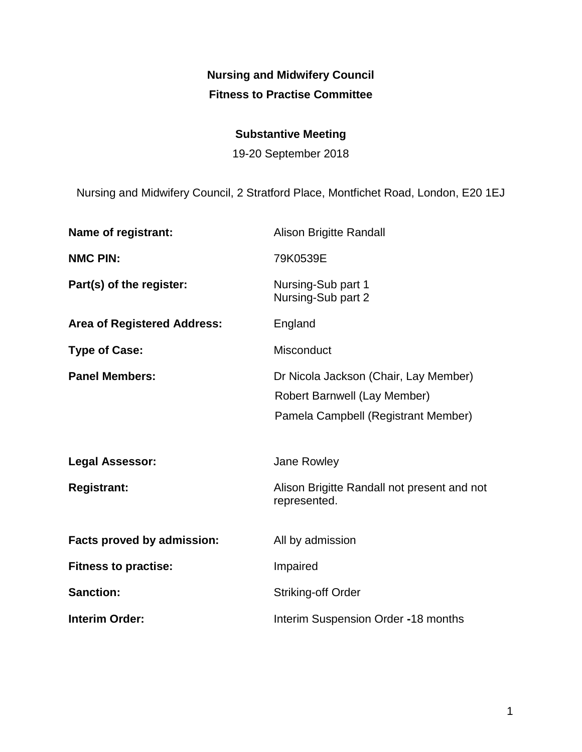# **Nursing and Midwifery Council Fitness to Practise Committee**

# **Substantive Meeting**

19-20 September 2018

Nursing and Midwifery Council, 2 Stratford Place, Montfichet Road, London, E20 1EJ

| Name of registrant:                | Alison Brigitte Randall                                                                                      |
|------------------------------------|--------------------------------------------------------------------------------------------------------------|
| <b>NMC PIN:</b>                    | 79K0539E                                                                                                     |
| Part(s) of the register:           | Nursing-Sub part 1<br>Nursing-Sub part 2                                                                     |
| <b>Area of Registered Address:</b> | England                                                                                                      |
| <b>Type of Case:</b>               | <b>Misconduct</b>                                                                                            |
| <b>Panel Members:</b>              | Dr Nicola Jackson (Chair, Lay Member)<br>Robert Barnwell (Lay Member)<br>Pamela Campbell (Registrant Member) |
|                                    |                                                                                                              |
| <b>Legal Assessor:</b>             | Jane Rowley                                                                                                  |
| <b>Registrant:</b>                 | Alison Brigitte Randall not present and not<br>represented.                                                  |
| Facts proved by admission:         | All by admission                                                                                             |
| <b>Fitness to practise:</b>        | Impaired                                                                                                     |
| <b>Sanction:</b>                   | <b>Striking-off Order</b>                                                                                    |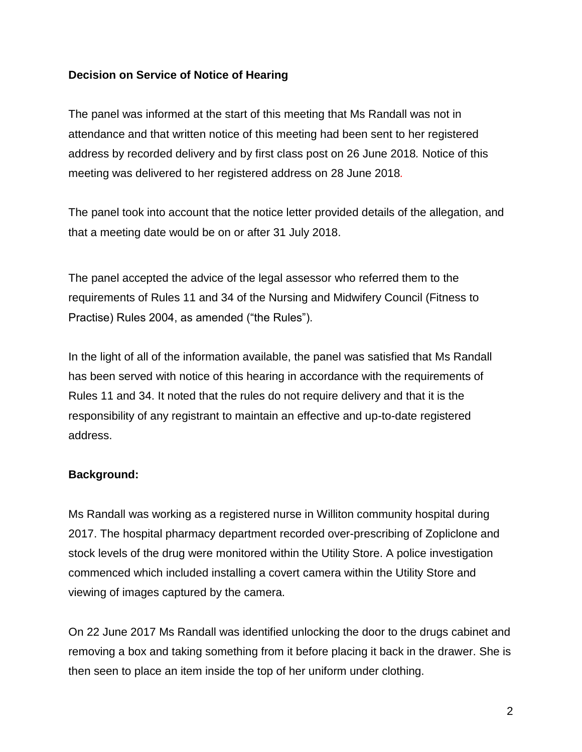### **Decision on Service of Notice of Hearing**

The panel was informed at the start of this meeting that Ms Randall was not in attendance and that written notice of this meeting had been sent to her registered address by recorded delivery and by first class post on 26 June 2018*.* Notice of this meeting was delivered to her registered address on 28 June 2018*.* 

The panel took into account that the notice letter provided details of the allegation, and that a meeting date would be on or after 31 July 2018.

The panel accepted the advice of the legal assessor who referred them to the requirements of Rules 11 and 34 of the Nursing and Midwifery Council (Fitness to Practise) Rules 2004, as amended ("the Rules").

In the light of all of the information available, the panel was satisfied that Ms Randall has been served with notice of this hearing in accordance with the requirements of Rules 11 and 34. It noted that the rules do not require delivery and that it is the responsibility of any registrant to maintain an effective and up-to-date registered address.

### **Background:**

Ms Randall was working as a registered nurse in Williton community hospital during 2017. The hospital pharmacy department recorded over-prescribing of Zopliclone and stock levels of the drug were monitored within the Utility Store. A police investigation commenced which included installing a covert camera within the Utility Store and viewing of images captured by the camera.

On 22 June 2017 Ms Randall was identified unlocking the door to the drugs cabinet and removing a box and taking something from it before placing it back in the drawer. She is then seen to place an item inside the top of her uniform under clothing.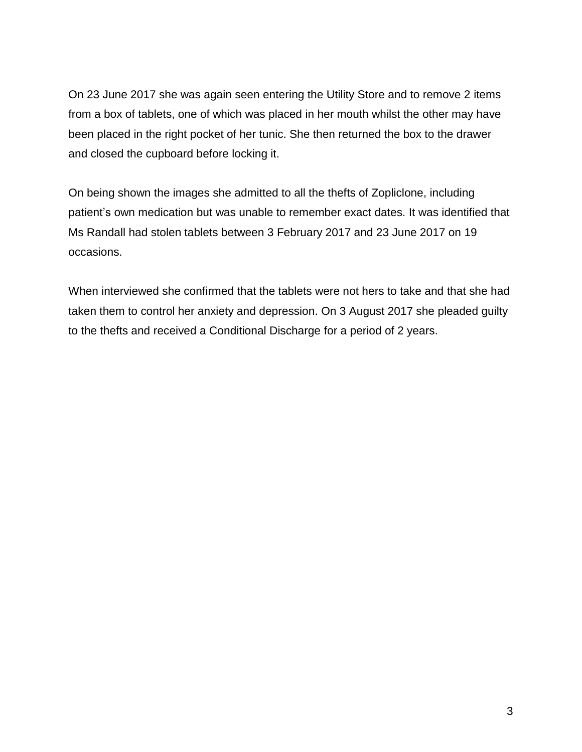On 23 June 2017 she was again seen entering the Utility Store and to remove 2 items from a box of tablets, one of which was placed in her mouth whilst the other may have been placed in the right pocket of her tunic. She then returned the box to the drawer and closed the cupboard before locking it.

On being shown the images she admitted to all the thefts of Zopliclone, including patient's own medication but was unable to remember exact dates. It was identified that Ms Randall had stolen tablets between 3 February 2017 and 23 June 2017 on 19 occasions.

When interviewed she confirmed that the tablets were not hers to take and that she had taken them to control her anxiety and depression. On 3 August 2017 she pleaded guilty to the thefts and received a Conditional Discharge for a period of 2 years.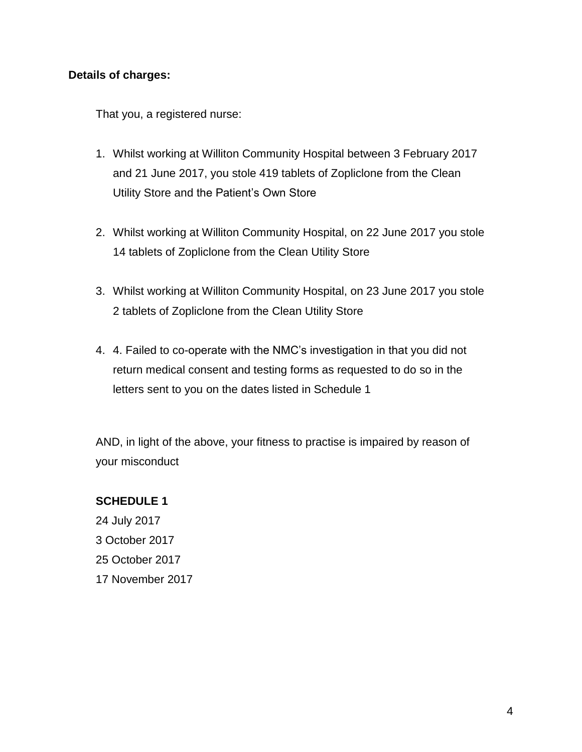#### **Details of charges:**

That you, a registered nurse:

- 1. Whilst working at Williton Community Hospital between 3 February 2017 and 21 June 2017, you stole 419 tablets of Zopliclone from the Clean Utility Store and the Patient's Own Store
- 2. Whilst working at Williton Community Hospital, on 22 June 2017 you stole 14 tablets of Zopliclone from the Clean Utility Store
- 3. Whilst working at Williton Community Hospital, on 23 June 2017 you stole 2 tablets of Zopliclone from the Clean Utility Store
- 4. 4. Failed to co-operate with the NMC's investigation in that you did not return medical consent and testing forms as requested to do so in the letters sent to you on the dates listed in Schedule 1

AND, in light of the above, your fitness to practise is impaired by reason of your misconduct

### **SCHEDULE 1**

24 July 2017 3 October 2017 25 October 2017 17 November 2017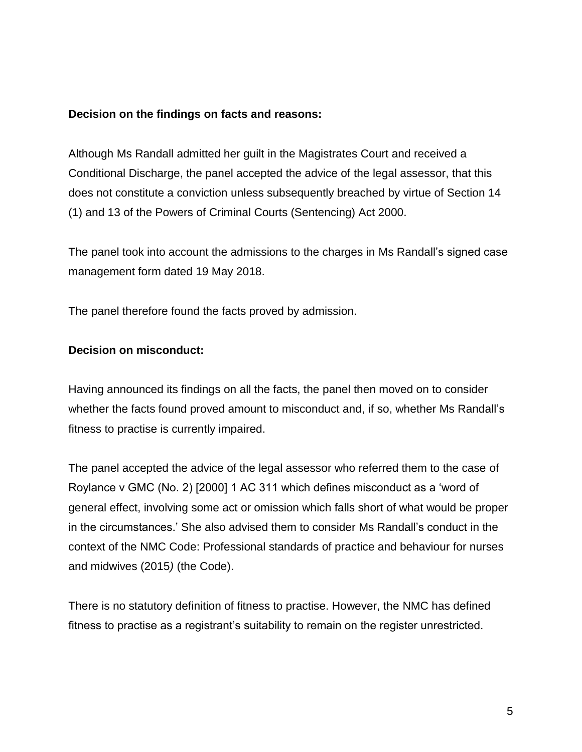#### **Decision on the findings on facts and reasons:**

Although Ms Randall admitted her guilt in the Magistrates Court and received a Conditional Discharge, the panel accepted the advice of the legal assessor, that this does not constitute a conviction unless subsequently breached by virtue of Section 14 (1) and 13 of the Powers of Criminal Courts (Sentencing) Act 2000.

The panel took into account the admissions to the charges in Ms Randall's signed case management form dated 19 May 2018.

The panel therefore found the facts proved by admission.

# **Decision on misconduct:**

Having announced its findings on all the facts, the panel then moved on to consider whether the facts found proved amount to misconduct and, if so, whether Ms Randall's fitness to practise is currently impaired.

The panel accepted the advice of the legal assessor who referred them to the case of Roylance v GMC (No. 2) [2000] 1 AC 311 which defines misconduct as a 'word of general effect, involving some act or omission which falls short of what would be proper in the circumstances.' She also advised them to consider Ms Randall's conduct in the context of the NMC Code: Professional standards of practice and behaviour for nurses and midwives (2015*)* (the Code).

There is no statutory definition of fitness to practise. However, the NMC has defined fitness to practise as a registrant's suitability to remain on the register unrestricted.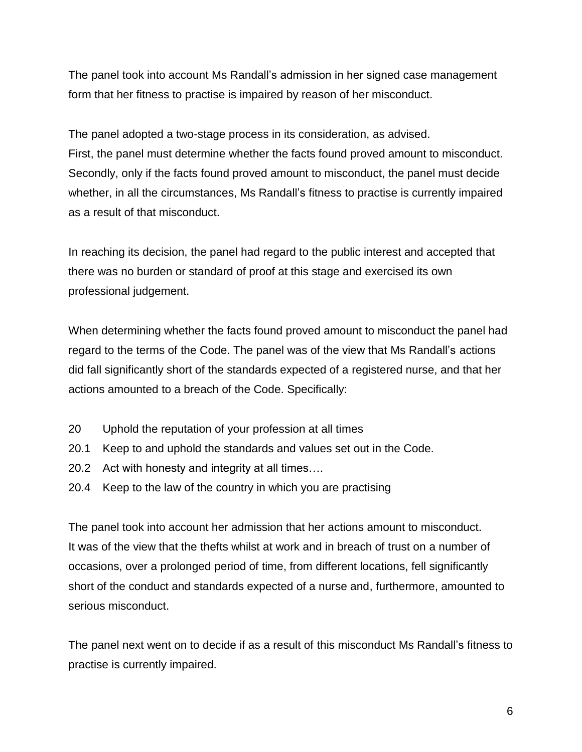The panel took into account Ms Randall's admission in her signed case management form that her fitness to practise is impaired by reason of her misconduct.

The panel adopted a two-stage process in its consideration, as advised. First, the panel must determine whether the facts found proved amount to misconduct. Secondly, only if the facts found proved amount to misconduct, the panel must decide whether, in all the circumstances, Ms Randall's fitness to practise is currently impaired as a result of that misconduct.

In reaching its decision, the panel had regard to the public interest and accepted that there was no burden or standard of proof at this stage and exercised its own professional judgement.

When determining whether the facts found proved amount to misconduct the panel had regard to the terms of the Code. The panel was of the view that Ms Randall's actions did fall significantly short of the standards expected of a registered nurse, and that her actions amounted to a breach of the Code. Specifically:

- 20 Uphold the reputation of your profession at all times
- 20.1 Keep to and uphold the standards and values set out in the Code.
- 20.2 Act with honesty and integrity at all times….
- 20.4 Keep to the law of the country in which you are practising

The panel took into account her admission that her actions amount to misconduct. It was of the view that the thefts whilst at work and in breach of trust on a number of occasions, over a prolonged period of time, from different locations, fell significantly short of the conduct and standards expected of a nurse and, furthermore, amounted to serious misconduct.

The panel next went on to decide if as a result of this misconduct Ms Randall's fitness to practise is currently impaired.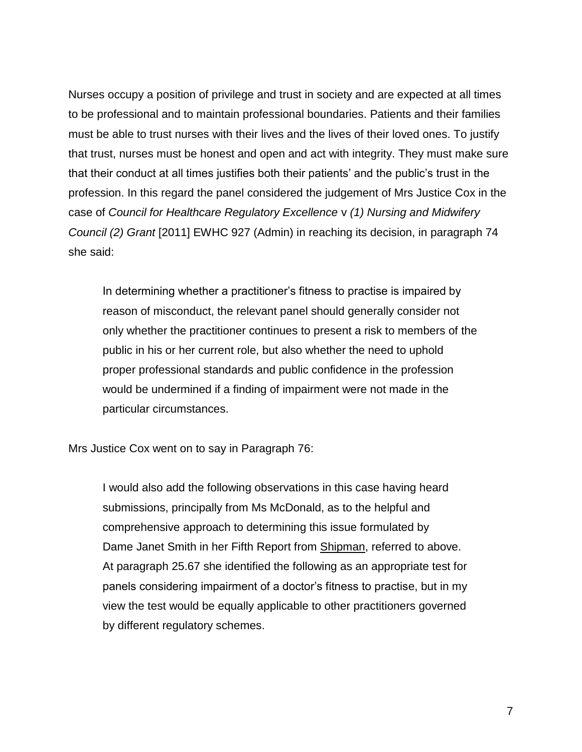Nurses occupy a position of privilege and trust in society and are expected at all times to be professional and to maintain professional boundaries. Patients and their families must be able to trust nurses with their lives and the lives of their loved ones. To justify that trust, nurses must be honest and open and act with integrity. They must make sure that their conduct at all times justifies both their patients' and the public's trust in the profession. In this regard the panel considered the judgement of Mrs Justice Cox in the case of *Council for Healthcare Regulatory Excellence* v *(1) Nursing and Midwifery Council (2) Grant* [2011] EWHC 927 (Admin) in reaching its decision, in paragraph 74 she said:

In determining whether a practitioner's fitness to practise is impaired by reason of misconduct, the relevant panel should generally consider not only whether the practitioner continues to present a risk to members of the public in his or her current role, but also whether the need to uphold proper professional standards and public confidence in the profession would be undermined if a finding of impairment were not made in the particular circumstances.

Mrs Justice Cox went on to say in Paragraph 76:

I would also add the following observations in this case having heard submissions, principally from Ms McDonald, as to the helpful and comprehensive approach to determining this issue formulated by Dame Janet Smith in her Fifth Report from Shipman, referred to above. At paragraph 25.67 she identified the following as an appropriate test for panels considering impairment of a doctor's fitness to practise, but in my view the test would be equally applicable to other practitioners governed by different regulatory schemes.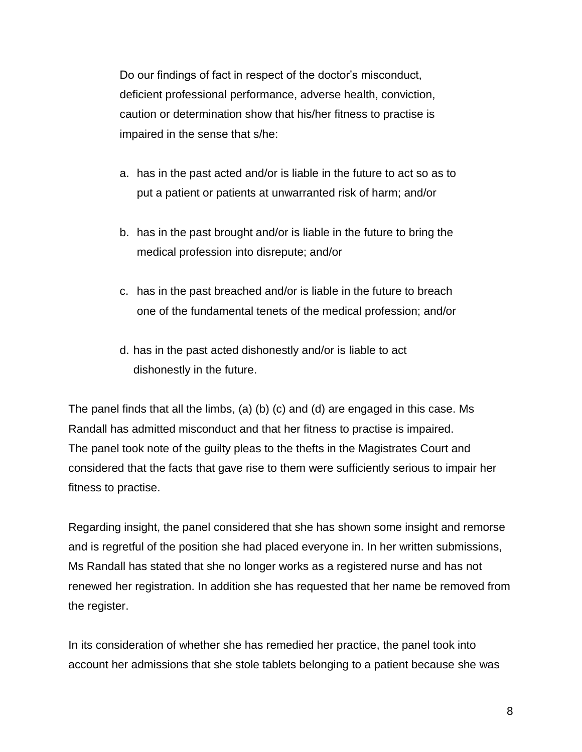Do our findings of fact in respect of the doctor's misconduct, deficient professional performance, adverse health, conviction, caution or determination show that his/her fitness to practise is impaired in the sense that s/he:

- a. has in the past acted and/or is liable in the future to act so as to put a patient or patients at unwarranted risk of harm; and/or
- b. has in the past brought and/or is liable in the future to bring the medical profession into disrepute; and/or
- c. has in the past breached and/or is liable in the future to breach one of the fundamental tenets of the medical profession; and/or
- d. has in the past acted dishonestly and/or is liable to act dishonestly in the future.

The panel finds that all the limbs, (a) (b) (c) and (d) are engaged in this case. Ms Randall has admitted misconduct and that her fitness to practise is impaired. The panel took note of the guilty pleas to the thefts in the Magistrates Court and considered that the facts that gave rise to them were sufficiently serious to impair her fitness to practise.

Regarding insight, the panel considered that she has shown some insight and remorse and is regretful of the position she had placed everyone in. In her written submissions, Ms Randall has stated that she no longer works as a registered nurse and has not renewed her registration. In addition she has requested that her name be removed from the register.

In its consideration of whether she has remedied her practice, the panel took into account her admissions that she stole tablets belonging to a patient because she was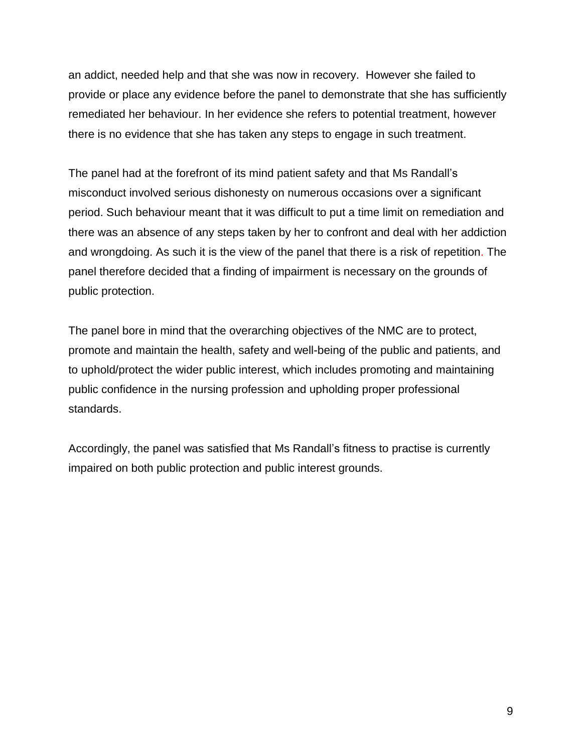an addict, needed help and that she was now in recovery. However she failed to provide or place any evidence before the panel to demonstrate that she has sufficiently remediated her behaviour. In her evidence she refers to potential treatment, however there is no evidence that she has taken any steps to engage in such treatment.

The panel had at the forefront of its mind patient safety and that Ms Randall's misconduct involved serious dishonesty on numerous occasions over a significant period. Such behaviour meant that it was difficult to put a time limit on remediation and there was an absence of any steps taken by her to confront and deal with her addiction and wrongdoing. As such it is the view of the panel that there is a risk of repetition. The panel therefore decided that a finding of impairment is necessary on the grounds of public protection.

The panel bore in mind that the overarching objectives of the NMC are to protect, promote and maintain the health, safety and well-being of the public and patients, and to uphold/protect the wider public interest, which includes promoting and maintaining public confidence in the nursing profession and upholding proper professional standards.

Accordingly, the panel was satisfied that Ms Randall's fitness to practise is currently impaired on both public protection and public interest grounds.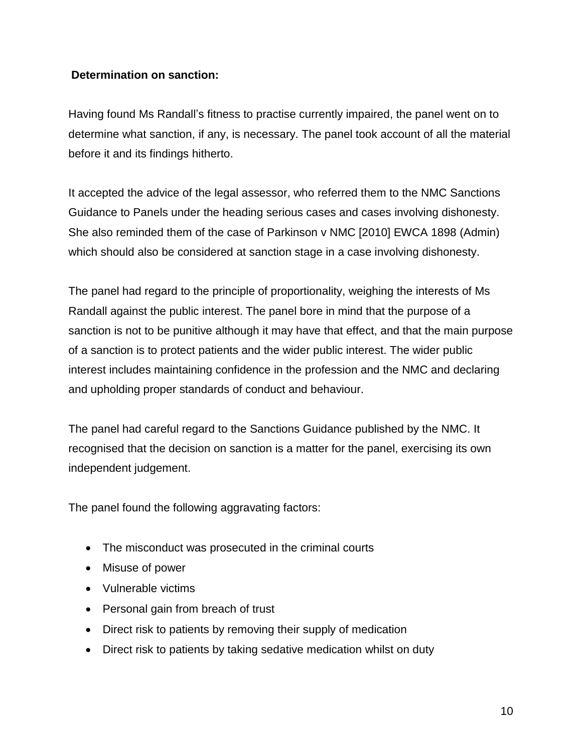### **Determination on sanction:**

Having found Ms Randall's fitness to practise currently impaired, the panel went on to determine what sanction, if any, is necessary. The panel took account of all the material before it and its findings hitherto.

It accepted the advice of the legal assessor, who referred them to the NMC Sanctions Guidance to Panels under the heading serious cases and cases involving dishonesty. She also reminded them of the case of Parkinson v NMC [2010] EWCA 1898 (Admin) which should also be considered at sanction stage in a case involving dishonesty.

The panel had regard to the principle of proportionality, weighing the interests of Ms Randall against the public interest. The panel bore in mind that the purpose of a sanction is not to be punitive although it may have that effect, and that the main purpose of a sanction is to protect patients and the wider public interest. The wider public interest includes maintaining confidence in the profession and the NMC and declaring and upholding proper standards of conduct and behaviour.

The panel had careful regard to the Sanctions Guidance published by the NMC. It recognised that the decision on sanction is a matter for the panel, exercising its own independent judgement.

The panel found the following aggravating factors:

- The misconduct was prosecuted in the criminal courts
- Misuse of power
- Vulnerable victims
- Personal gain from breach of trust
- Direct risk to patients by removing their supply of medication
- Direct risk to patients by taking sedative medication whilst on duty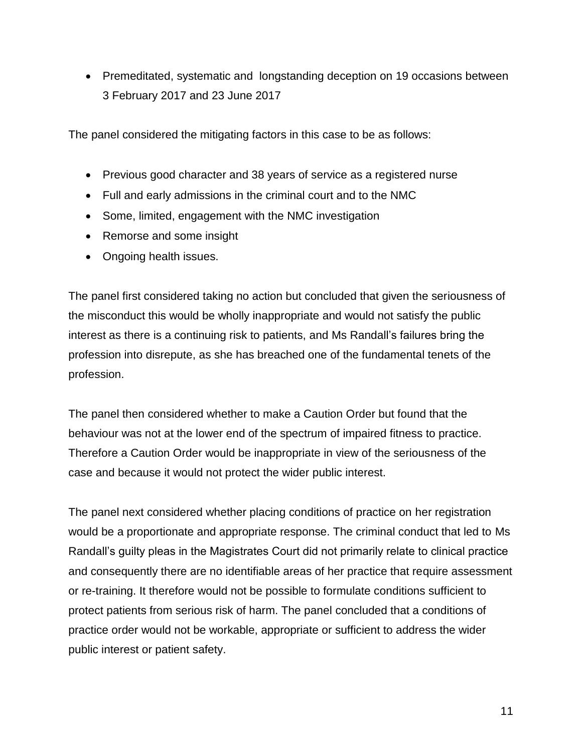• Premeditated, systematic and longstanding deception on 19 occasions between 3 February 2017 and 23 June 2017

The panel considered the mitigating factors in this case to be as follows:

- Previous good character and 38 years of service as a registered nurse
- Full and early admissions in the criminal court and to the NMC
- Some, limited, engagement with the NMC investigation
- Remorse and some insight
- Ongoing health issues.

The panel first considered taking no action but concluded that given the seriousness of the misconduct this would be wholly inappropriate and would not satisfy the public interest as there is a continuing risk to patients, and Ms Randall's failures bring the profession into disrepute, as she has breached one of the fundamental tenets of the profession.

The panel then considered whether to make a Caution Order but found that the behaviour was not at the lower end of the spectrum of impaired fitness to practice. Therefore a Caution Order would be inappropriate in view of the seriousness of the case and because it would not protect the wider public interest.

The panel next considered whether placing conditions of practice on her registration would be a proportionate and appropriate response. The criminal conduct that led to Ms Randall's guilty pleas in the Magistrates Court did not primarily relate to clinical practice and consequently there are no identifiable areas of her practice that require assessment or re-training. It therefore would not be possible to formulate conditions sufficient to protect patients from serious risk of harm. The panel concluded that a conditions of practice order would not be workable, appropriate or sufficient to address the wider public interest or patient safety.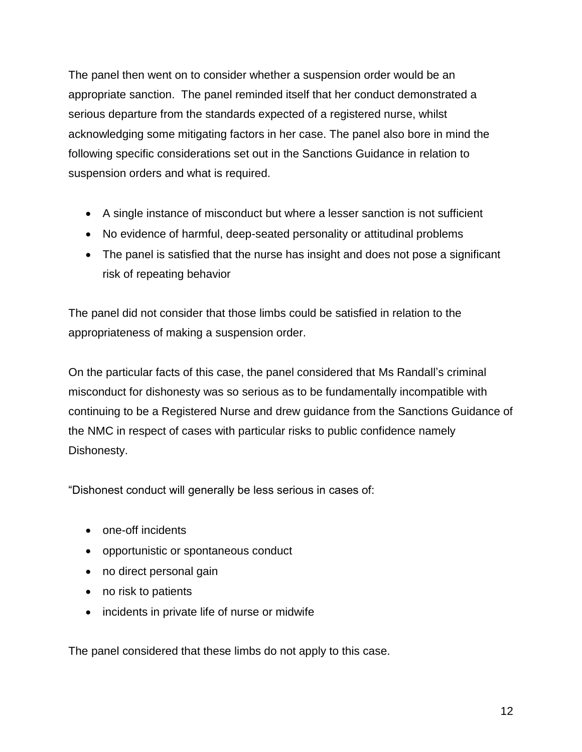The panel then went on to consider whether a suspension order would be an appropriate sanction. The panel reminded itself that her conduct demonstrated a serious departure from the standards expected of a registered nurse, whilst acknowledging some mitigating factors in her case. The panel also bore in mind the following specific considerations set out in the Sanctions Guidance in relation to suspension orders and what is required.

- A single instance of misconduct but where a lesser sanction is not sufficient
- No evidence of harmful, deep-seated personality or attitudinal problems
- The panel is satisfied that the nurse has insight and does not pose a significant risk of repeating behavior

The panel did not consider that those limbs could be satisfied in relation to the appropriateness of making a suspension order.

On the particular facts of this case, the panel considered that Ms Randall's criminal misconduct for dishonesty was so serious as to be fundamentally incompatible with continuing to be a Registered Nurse and drew guidance from the Sanctions Guidance of the NMC in respect of cases with particular risks to public confidence namely Dishonesty.

"Dishonest conduct will generally be less serious in cases of:

- one-off incidents
- opportunistic or spontaneous conduct
- no direct personal gain
- no risk to patients
- incidents in private life of nurse or midwife

The panel considered that these limbs do not apply to this case.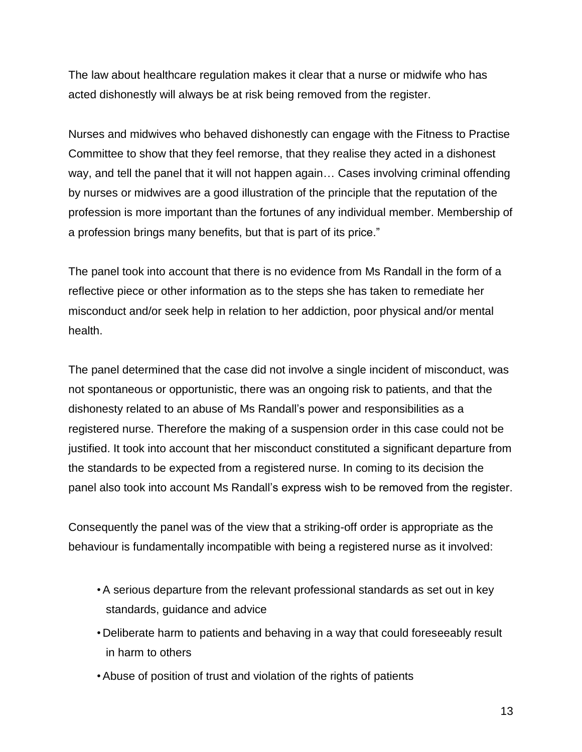The law about healthcare regulation makes it clear that a nurse or midwife who has acted dishonestly will always be at risk being removed from the register.

Nurses and midwives who behaved dishonestly can engage with the Fitness to Practise Committee to show that they feel remorse, that they realise they acted in a dishonest way, and tell the panel that it will not happen again… Cases involving criminal offending by nurses or midwives are a good illustration of the principle that the reputation of the profession is more important than the fortunes of any individual member. Membership of a profession brings many benefits, but that is part of its price."

The panel took into account that there is no evidence from Ms Randall in the form of a reflective piece or other information as to the steps she has taken to remediate her misconduct and/or seek help in relation to her addiction, poor physical and/or mental health.

The panel determined that the case did not involve a single incident of misconduct, was not spontaneous or opportunistic, there was an ongoing risk to patients, and that the dishonesty related to an abuse of Ms Randall's power and responsibilities as a registered nurse. Therefore the making of a suspension order in this case could not be justified. It took into account that her misconduct constituted a significant departure from the standards to be expected from a registered nurse. In coming to its decision the panel also took into account Ms Randall's express wish to be removed from the register.

Consequently the panel was of the view that a striking-off order is appropriate as the behaviour is fundamentally incompatible with being a registered nurse as it involved:

- •A serious departure from the relevant professional standards as set out in key standards, guidance and advice
- Deliberate harm to patients and behaving in a way that could foreseeably result in harm to others
- •Abuse of position of trust and violation of the rights of patients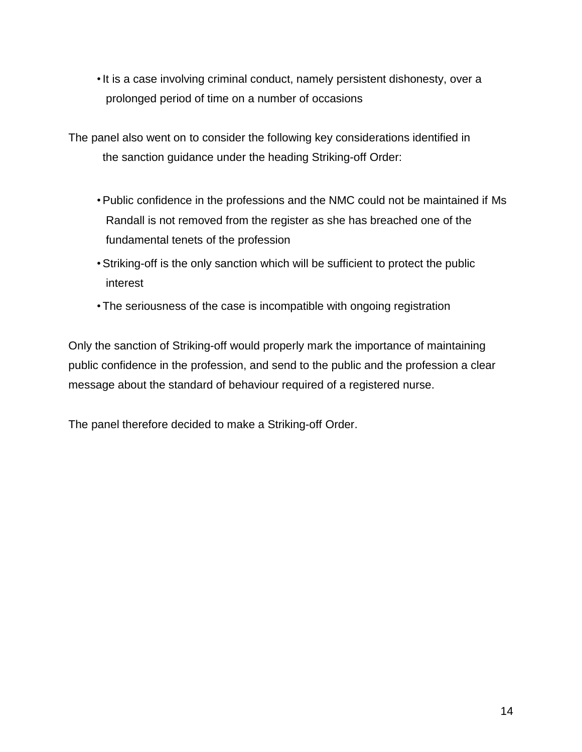•It is a case involving criminal conduct, namely persistent dishonesty, over a prolonged period of time on a number of occasions

The panel also went on to consider the following key considerations identified in the sanction guidance under the heading Striking-off Order:

- •Public confidence in the professions and the NMC could not be maintained if Ms Randall is not removed from the register as she has breached one of the fundamental tenets of the profession
- •Striking-off is the only sanction which will be sufficient to protect the public interest
- •The seriousness of the case is incompatible with ongoing registration

Only the sanction of Striking-off would properly mark the importance of maintaining public confidence in the profession, and send to the public and the profession a clear message about the standard of behaviour required of a registered nurse.

The panel therefore decided to make a Striking-off Order.